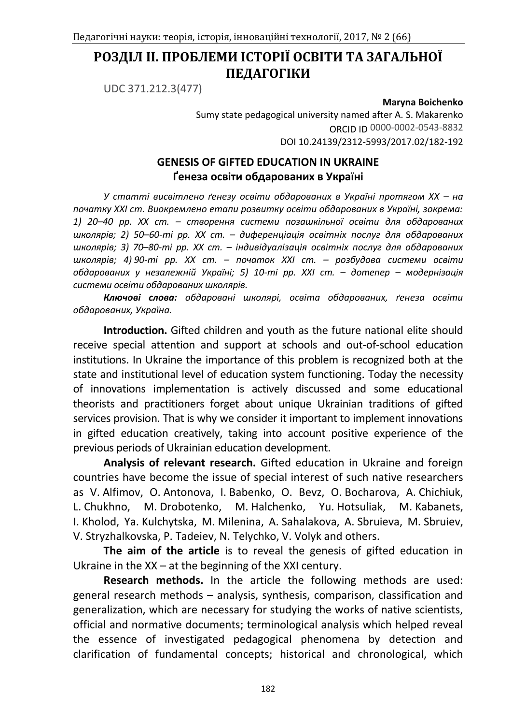# **РОЗДІЛ ІІ. ПРОБЛЕМИ ІСТОРІЇ ОСВІТИ ТА ЗАГАЛЬНОЇ ПЕДАГОГІКИ**

UDC 371.212.3(477)

**Maryna Boichenko**

Sumy state pedagogical university named after A. S. Makarenko ORCID ID 0000-0002-0543-8832 DOI 10.24139/2312-5993/2017.02/182-192

## **GENESIS OF GIFTED EDUCATION IN UKRAINE Ґенеза освіти обдарованих в Україні**

*У статті висвітлено ґенезу освіти обдарованих в Україні протягом ХХ – на початку ХХІ ст. Виокремлено етапи розвитку освіти обдарованих в Україні, зокрема: 1) 20–40 рр. ХХ ст. – створення системи позашкільної освіти для обдарованих школярів; 2) 50–60-ті рр. ХХ ст. – диференціація освітніх послуг для обдарованих школярів; 3) 70–80-ті рр. ХХ ст. – індивідуалізація освітніх послуг для обдарованих школярів; 4) 90-ті рр. ХХ ст. – початок ХХІ ст. – розбудова системи освіти обдарованих у незалежній Україні; 5) 10-ті рр. ХХІ ст. – дотепер – модернізація системи освіти обдарованих школярів.*

*Ключові слова: обдаровані школярі, освіта обдарованих, ґенеза освіти обдарованих, Україна.* 

**Introduction.** Gifted children and youth as the future national elite should receive special attention and support at schools and out-of-school education institutions. In Ukraine the importance of this problem is recognized both at the state and institutional level of education system functioning. Today the necessity of innovations implementation is actively discussed and some educational theorists and practitioners forget about unique Ukrainian traditions of gifted services provision. That is why we consider it important to implement innovations in gifted education creatively, taking into account positive experience of the previous periods of Ukrainian education development.

**Analysis of relevant research.** Gifted education in Ukraine and foreign countries have become the issue of special interest of such native researchers as V. Alfimov, O. Antonova, I. Babenko, O. Bevz, O. Bocharova, A. Chichiuk, L. Chukhno, M. Drobotenko, M. Halchenko, Yu. Hotsuliak, M. Kabanets, I. Kholod, Ya. Kulchytska, M. Milenina, A. Sahalakova, A. Sbruieva, M. Sbruiev, V. Stryzhalkovska, P. Tadeiev, N. Telychko, V. Volyk and others.

**The aim of the article** is to reveal the genesis of gifted education in Ukraine in the XX – at the beginning of the XXI century.

**Research methods.** In the article the following methods are used: general research methods – analysis, synthesis, comparison, classification and generalization, which are necessary for studying the works of native scientists, official and normative documents; terminological analysis which helped reveal the essence of investigated pedagogical phenomena by detection and clarification of fundamental concepts; historical and chronological, which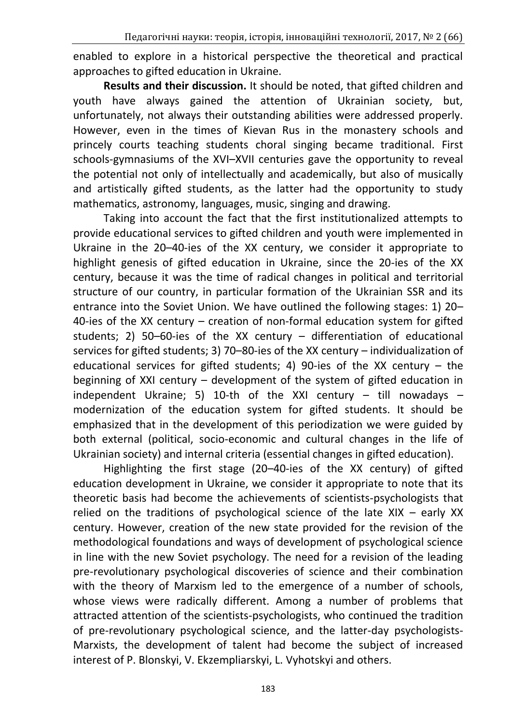enabled to explore in a historical perspective the theoretical and practical approaches to gifted education in Ukraine.

**Results and their discussion.** It should be noted, that gifted children and youth have always gained the attention of Ukrainian society, but, unfortunately, not always their outstanding abilities were addressed properly. However, even in the times of Kievan Rus in the monastery schools and princely courts teaching students choral singing became traditional. First schools-gymnasiums of the XVI–XVII centuries gave the opportunity to reveal the potential not only of intellectually and academically, but also of musically and artistically gifted students, as the latter had the opportunity to study mathematics, astronomy, languages, music, singing and drawing.

Taking into account the fact that the first institutionalized attempts to provide educational services to gifted children and youth were implemented in Ukraine in the 20–40-ies of the XX century, we consider it appropriate to highlight genesis of gifted education in Ukraine, since the 20-ies of the XX century, because it was the time of radical changes in political and territorial structure of our country, in particular formation of the Ukrainian SSR and its entrance into the Soviet Union. We have outlined the following stages: 1) 20– 40-ies of the XX century – creation of non-formal education system for gifted students; 2) 50–60-ies of the XX century – differentiation of educational services for gifted students; 3) 70–80-ies of the XX century – individualization of educational services for gifted students; 4) 90-ies of the XX century – the beginning of XXI century – development of the system of gifted education in independent Ukraine; 5) 10-th of the XXI century  $-$  till nowadays  $$ modernization of the education system for gifted students. It should be emphasized that in the development of this periodization we were guided by both external (political, socio-economic and cultural changes in the life of Ukrainian society) and internal criteria (essential changes in gifted education).

Highlighting the first stage (20–40-ies of the XX century) of gifted education development in Ukraine, we consider it appropriate to note that its theoretic basis had become the achievements of scientists-psychologists that relied on the traditions of psychological science of the late XIX – early XX century. However, creation of the new state provided for the revision of the methodological foundations and ways of development of psychological science in line with the new Soviet psychology. The need for a revision of the leading pre-revolutionary psychological discoveries of science and their combination with the theory of Marxism led to the emergence of a number of schools, whose views were radically different. Among a number of problems that attracted attention of the scientists-psychologists, who continued the tradition of pre-revolutionary psychological science, and the latter-day psychologists-Marxists, the development of talent had become the subject of increased interest of P. Blonskyi, V. Ekzempliarskyi, L. Vyhotskyi and others.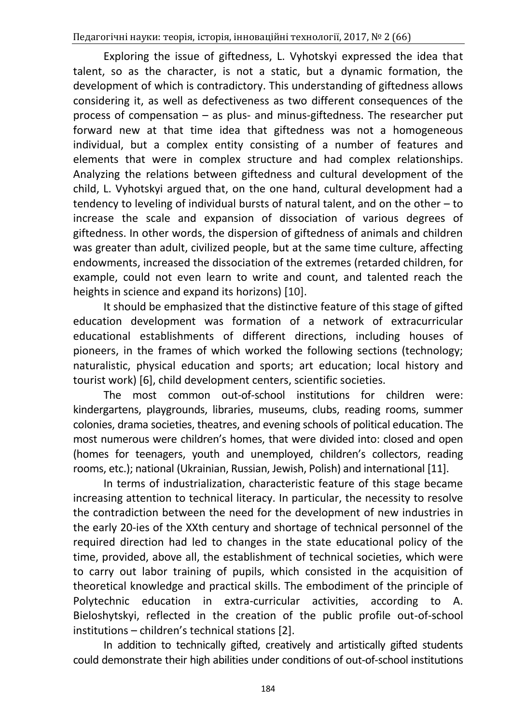Exploring the issue of giftedness, L. Vyhotskyi expressed the idea that talent, so as the character, is not a static, but a dynamic formation, the development of which is contradictory. This understanding of giftedness allows considering it, as well as defectiveness as two different consequences of the process of compensation – as plus- and minus-giftedness. The researcher put forward new at that time idea that giftedness was not a homogeneous individual, but a complex entity consisting of a number of features and elements that were in complex structure and had complex relationships. Analyzing the relations between giftedness and cultural development of the child, L. Vyhotskyi argued that, on the one hand, cultural development had a tendency to leveling of individual bursts of natural talent, and on the other – to increase the scale and expansion of dissociation of various degrees of giftedness. In other words, the dispersion of giftedness of animals and children was greater than adult, civilized people, but at the same time culture, affecting endowments, increased the dissociation of the extremes (retarded children, for example, could not even learn to write and count, and talented reach the heights in science and expand its horizons) [10].

It should be emphasized that the distinctive feature of this stage of gifted education development was formation of a network of extracurricular educational establishments of different directions, including houses of pioneers, in the frames of which worked the following sections (technology; naturalistic, physical education and sports; art education; local history and tourist work) [6], child development centers, scientific societies.

The most common out-of-school institutions for children were: kindergartens, playgrounds, libraries, museums, clubs, reading rooms, summer colonies, drama societies, theatres, and evening schools of political education. The most numerous were children's homes, that were divided into: closed and open (homes for teenagers, youth and unemployed, children's collectors, reading rooms, etc.); national (Ukrainian, Russian, Jewish, Polish) and international [11].

In terms of industrialization, characteristic feature of this stage became increasing attention to technical literacy. In particular, the necessity to resolve the contradiction between the need for the development of new industries in the early 20-ies of the XXth century and shortage of technical personnel of the required direction had led to changes in the state educational policy of the time, provided, above all, the establishment of technical societies, which were to carry out labor training of pupils, which consisted in the acquisition of theoretical knowledge and practical skills. The embodiment of the principle of Polytechnic education in extra-curricular activities, according to A. Bieloshytskyi, reflected in the creation of the public profile out-of-school institutions – children's technical stations [2].

In addition to technically gifted, creatively and artistically gifted students could demonstrate their high abilities under conditions of out-of-school institutions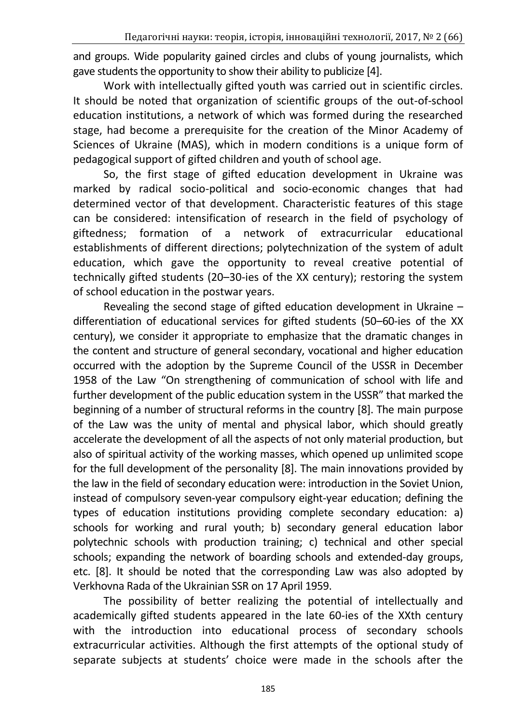and groups. Wide popularity gained circles and clubs of young journalists, which gave students the opportunity to show their ability to publicize [4].

Work with intellectually gifted youth was carried out in scientific circles. It should be noted that organization of scientific groups of the out-of-school education institutions, a network of which was formed during the researched stage, had become a prerequisite for the creation of the Minor Academy of Sciences of Ukraine (MAS), which in modern conditions is a unique form of pedagogical support of gifted children and youth of school age.

So, the first stage of gifted education development in Ukraine was marked by radical socio-political and socio-economic changes that had determined vector of that development. Characteristic features of this stage can be considered: intensification of research in the field of psychology of giftedness; formation of a network of extracurricular educational establishments of different directions; polytechnization of the system of adult education, which gave the opportunity to reveal creative potential of technically gifted students (20–30-ies of the XX century); restoring the system of school education in the postwar years.

Revealing the second stage of gifted education development in Ukraine – differentiation of educational services for gifted students (50–60-ies of the XX century), we consider it appropriate to emphasize that the dramatic changes in the content and structure of general secondary, vocational and higher education occurred with the adoption by the Supreme Council of the USSR in December 1958 of the Law "On strengthening of communication of school with life and further development of the public education system in the USSR" that marked the beginning of a number of structural reforms in the country [8]. The main purpose of the Law was the unity of mental and physical labor, which should greatly accelerate the development of all the aspects of not only material production, but also of spiritual activity of the working masses, which opened up unlimited scope for the full development of the personality [8]. The main innovations provided by the law in the field of secondary education were: introduction in the Soviet Union, instead of compulsory seven-year compulsory eight-year education; defining the types of education institutions providing complete secondary education: a) schools for working and rural youth; b) secondary general education labor polytechnic schools with production training; c) technical and other special schools; expanding the network of boarding schools and extended-day groups, etc. [8]. It should be noted that the corresponding Law was also adopted by Verkhovna Rada of the Ukrainian SSR on 17 April 1959.

The possibility of better realizing the potential of intellectually and academically gifted students appeared in the late 60-ies of the XXth century with the introduction into educational process of secondary schools extracurricular activities. Although the first attempts of the optional study of separate subjects at students' choice were made in the schools after the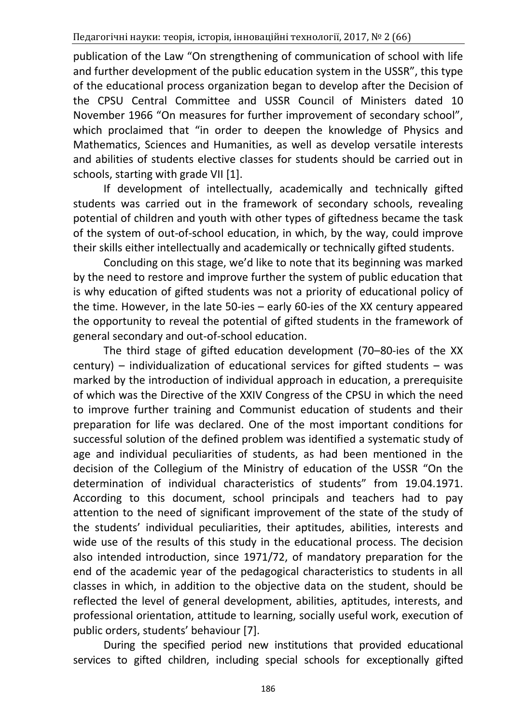publication of the Law "On strengthening of communication of school with life and further development of the public education system in the USSR", this type of the educational process organization began to develop after the Decision of the CPSU Central Committee and USSR Council of Ministers dated 10 November 1966 "On measures for further improvement of secondary school", which proclaimed that "in order to deepen the knowledge of Physics and Mathematics, Sciences and Humanities, as well as develop versatile interests and abilities of students elective classes for students should be carried out in schools, starting with grade VII [1].

If development of intellectually, academically and technically gifted students was carried out in the framework of secondary schools, revealing potential of children and youth with other types of giftedness became the task of the system of out-of-school education, in which, by the way, could improve their skills either intellectually and academically or technically gifted students.

Concluding on this stage, we'd like to note that its beginning was marked by the need to restore and improve further the system of public education that is why education of gifted students was not a priority of educational policy of the time. However, in the late 50-ies – early 60-ies of the XX century appeared the opportunity to reveal the potential of gifted students in the framework of general secondary and out-of-school education.

The third stage of gifted education development (70–80-ies of the XX century) – individualization of educational services for gifted students – was marked by the introduction of individual approach in education, a prerequisite of which was the Directive of the XXIV Congress of the CPSU in which the need to improve further training and Communist education of students and their preparation for life was declared. One of the most important conditions for successful solution of the defined problem was identified a systematic study of age and individual peculiarities of students, as had been mentioned in the decision of the Collegium of the Ministry of education of the USSR "On the determination of individual characteristics of students" from 19.04.1971. According to this document, school principals and teachers had to pay attention to the need of significant improvement of the state of the study of the students' individual peculiarities, their aptitudes, abilities, interests and wide use of the results of this study in the educational process. The decision also intended introduction, since 1971/72, of mandatory preparation for the end of the academic year of the pedagogical characteristics to students in all classes in which, in addition to the objective data on the student, should be reflected the level of general development, abilities, aptitudes, interests, and professional orientation, attitude to learning, socially useful work, execution of public orders, students' behaviour [7].

During the specified period new institutions that provided educational services to gifted children, including special schools for exceptionally gifted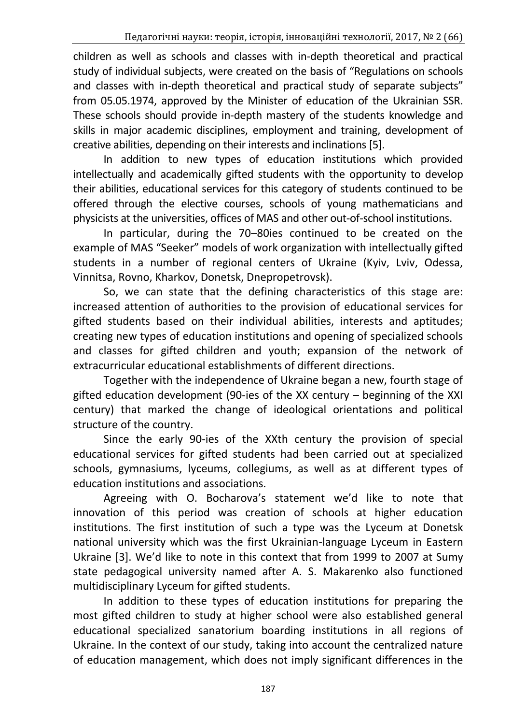children as well as schools and classes with in-depth theoretical and practical study of individual subjects, were created on the basis of "Regulations on schools and classes with in-depth theoretical and practical study of separate subjects" from 05.05.1974, approved by the Minister of education of the Ukrainian SSR. These schools should provide in-depth mastery of the students knowledge and skills in major academic disciplines, employment and training, development of creative abilities, depending on their interests and inclinations [5].

In addition to new types of education institutions which provided intellectually and academically gifted students with the opportunity to develop their abilities, educational services for this category of students continued to be offered through the elective courses, schools of young mathematicians and physicists at the universities, offices of MAS and other out-of-school institutions.

In particular, during the 70–80ies continued to be created on the example of MAS "Seeker" models of work organization with intellectually gifted students in a number of regional centers of Ukraine (Kyiv, Lviv, Odessa, Vinnitsa, Rovno, Kharkov, Donetsk, Dnepropetrovsk).

So, we can state that the defining characteristics of this stage are: increased attention of authorities to the provision of educational services for gifted students based on their individual abilities, interests and aptitudes; creating new types of education institutions and opening of specialized schools and classes for gifted children and youth; expansion of the network of extracurricular educational establishments of different directions.

Together with the independence of Ukraine began a new, fourth stage of gifted education development (90-ies of the XX century – beginning of the XXI century) that marked the change of ideological orientations and political structure of the country.

Since the early 90-ies of the XXth century the provision of special educational services for gifted students had been carried out at specialized schools, gymnasiums, lyceums, collegiums, as well as at different types of education institutions and associations.

Agreeing with O. Bocharova's statement we'd like to note that innovation of this period was creation of schools at higher education institutions. The first institution of such a type was the Lyceum at Donetsk national university which was the first Ukrainian-language Lyceum in Eastern Ukraine [3]. We'd like to note in this context that from 1999 to 2007 at Sumy state pedagogical university named after A. S. Makarenko also functioned multidisciplinary Lyceum for gifted students.

In addition to these types of education institutions for preparing the most gifted children to study at higher school were also established general educational specialized sanatorium boarding institutions in all regions of Ukraine. In the context of our study, taking into account the centralized nature of education management, which does not imply significant differences in the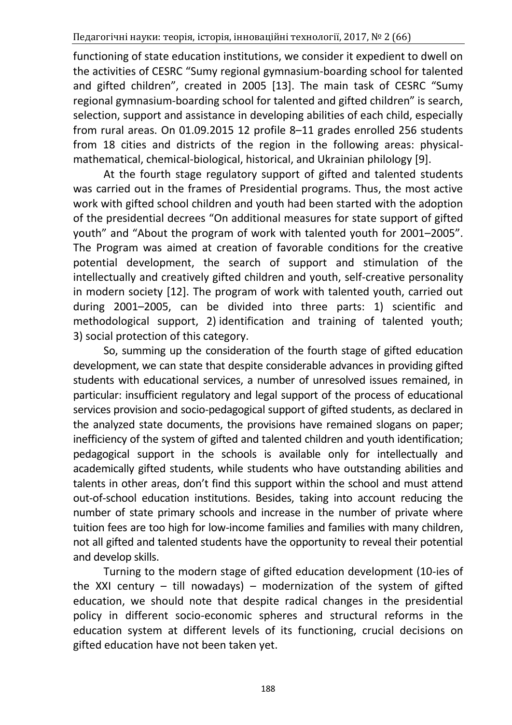functioning of state education institutions, we consider it expedient to dwell on the activities of CESRC "Sumy regional gymnasium-boarding school for talented and gifted children", created in 2005 [13]. The main task of CESRC "Sumy regional gymnasium-boarding school for talented and gifted children" is search, selection, support and assistance in developing abilities of each child, especially from rural areas. On 01.09.2015 12 profile 8–11 grades enrolled 256 students from 18 cities and districts of the region in the following areas: physicalmathematical, chemical-biological, historical, and Ukrainian philology [9].

At the fourth stage regulatory support of gifted and talented students was carried out in the frames of Presidential programs. Thus, the most active work with gifted school children and youth had been started with the adoption of the presidential decrees "On additional measures for state support of gifted youth" and "About the program of work with talented youth for 2001–2005". The Program was aimed at creation of favorable conditions for the creative potential development, the search of support and stimulation of the intellectually and creatively gifted children and youth, self-creative personality in modern society [12]. The program of work with talented youth, carried out during 2001–2005, can be divided into three parts: 1) scientific and methodological support, 2) identification and training of talented youth; 3) social protection of this category.

So, summing up the consideration of the fourth stage of gifted education development, we can state that despite considerable advances in providing gifted students with educational services, a number of unresolved issues remained, in particular: insufficient regulatory and legal support of the process of educational services provision and socio-pedagogical support of gifted students, as declared in the analyzed state documents, the provisions have remained slogans on paper; inefficiency of the system of gifted and talented children and youth identification; pedagogical support in the schools is available only for intellectually and academically gifted students, while students who have outstanding abilities and talents in other areas, don't find this support within the school and must attend out-of-school education institutions. Besides, taking into account reducing the number of state primary schools and increase in the number of private where tuition fees are too high for low-income families and families with many children, not all gifted and talented students have the opportunity to reveal their potential and develop skills.

Turning to the modern stage of gifted education development (10-ies of the XXI century – till nowadays) – modernization of the system of gifted education, we should note that despite radical changes in the presidential policy in different socio-economic spheres and structural reforms in the education system at different levels of its functioning, crucial decisions on gifted education have not been taken yet.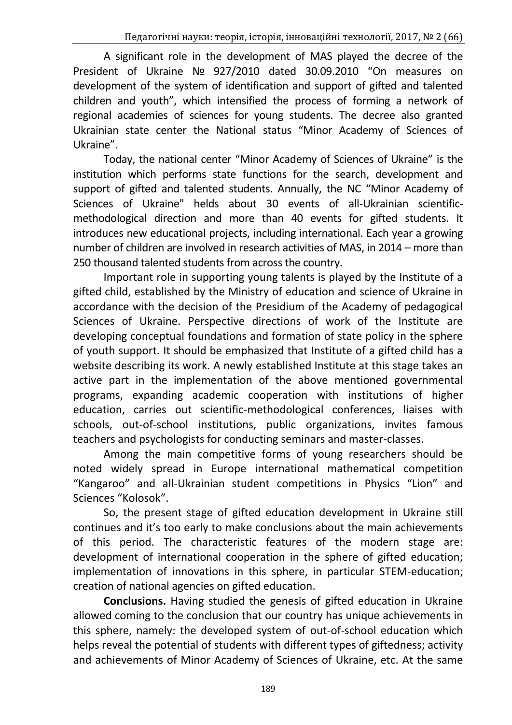A significant role in the development of MAS played the decree of the President of Ukraine № 927/2010 dated 30.09.2010 "On measures on development of the system of identification and support of gifted and talented children and youth", which intensified the process of forming a network of regional academies of sciences for young students. The decree also granted Ukrainian state center the National status "Minor Academy of Sciences of Ukraine".

Today, the national center "Minor Academy of Sciences of Ukraine" is the institution which performs state functions for the search, development and support of gifted and talented students. Annually, the NC "Minor Academy of Sciences of Ukraine" helds about 30 events of all-Ukrainian scientificmethodological direction and more than 40 events for gifted students. It introduces new educational projects, including international. Each year a growing number of children are involved in research activities of MAS, in 2014 – more than 250 thousand talented students from across the country.

Important role in supporting young talents is played by the Institute of a gifted child, established by the Ministry of education and science of Ukraine in accordance with the decision of the Presidium of the Academy of pedagogical Sciences of Ukraine. Perspective directions of work of the Institute are developing conceptual foundations and formation of state policy in the sphere of youth support. It should be emphasized that Institute of a gifted child has a website describing its work. A newly established Institute at this stage takes an active part in the implementation of the above mentioned governmental programs, expanding academic cooperation with institutions of higher education, carries out scientific-methodological conferences, liaises with schools, out-of-school institutions, public organizations, invites famous teachers and psychologists for conducting seminars and master-classes.

Among the main competitive forms of young researchers should be noted widely spread in Europe international mathematical competition "Kangaroo" and all-Ukrainian student competitions in Physics "Lion" and Sciences "Kolosok".

So, the present stage of gifted education development in Ukraine still continues and it's too early to make conclusions about the main achievements of this period. The characteristic features of the modern stage are: development of international cooperation in the sphere of gifted education; implementation of innovations in this sphere, in particular STEM-education; creation of national agencies on gifted education.

**Conclusions.** Having studied the genesis of gifted education in Ukraine allowed coming to the conclusion that our country has unique achievements in this sphere, namely: the developed system of out-of-school education which helps reveal the potential of students with different types of giftedness; activity and achievements of Minor Academy of Sciences of Ukraine, etc. At the same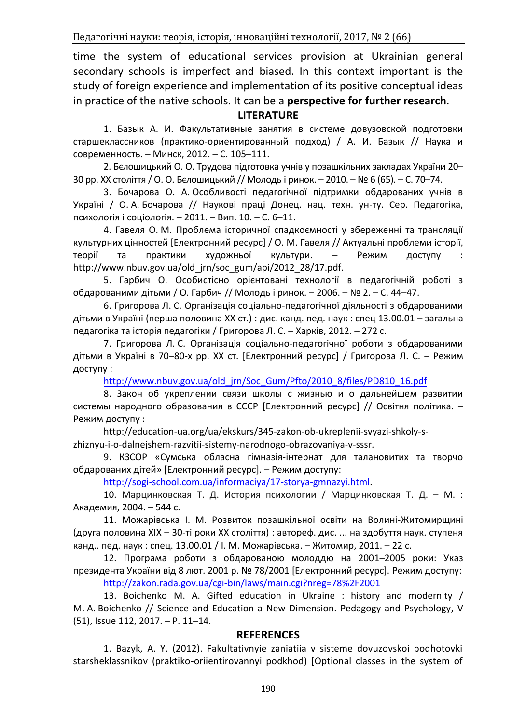time the system of educational services provision at Ukrainian general secondary schools is imperfect and biased. In this context important is the study of foreign experience and implementation of its positive conceptual ideas in practice of the native schools. It can be a **perspective for further research**.

### **LITERATURE**

1. Базык А. И. Факультативные занятия в системе довузовской подготовки старшеклассников (практико-ориентированный подход) / А. И. Базык // Наука и современность. – Минск, 2012. – С. 105–111.

2. Бєлошицький О. О. Трудова підготовка учнів у позашкільних закладах України 20– 30 рр. ХХ століття / О. О. Бєлошицький // Молодь і ринок. – 2010. – № 6 (65). – С. 70–74.

3. [Бочарова О. А.](http://www.irbis-nbuv.gov.ua/cgi-bin/irbis_nbuv/cgiirbis_64.exe?Z21ID=&I21DBN=REF&P21DBN=REF&S21STN=1&S21REF=10&S21FMT=fullwebr&C21COM=S&S21CNR=20&S21P01=0&S21P02=0&S21P03=A=&S21COLORTERMS=1&S21STR=Бочарова%20О$) Особливості педагогічної підтримки обдарованих учнів в Україні / О. А. Бочарова // [Наукові праці Донец. нац. техн. ун](http://www.irbis-nbuv.gov.ua/cgi-bin/irbis_nbuv/cgiirbis_64.exe?Z21ID=&I21DBN=REF&P21DBN=REF&S21STN=1&S21REF=10&S21FMT=fullwebr&C21COM=S&S21CNR=20&S21P01=0&S21P02=0&S21P03=TJ=&S21COLORTERMS=1&S21STR=Наук.%20пр.%20Донец.%20нац.%20техн.%20ун-ту.%20Сер.%20Педагогіка,%20психологія%20і%20соціол)-ту. Сер. Педагогіка, [психологія і соціол](http://www.irbis-nbuv.gov.ua/cgi-bin/irbis_nbuv/cgiirbis_64.exe?Z21ID=&I21DBN=REF&P21DBN=REF&S21STN=1&S21REF=10&S21FMT=fullwebr&C21COM=S&S21CNR=20&S21P01=0&S21P02=0&S21P03=TJ=&S21COLORTERMS=1&S21STR=Наук.%20пр.%20Донец.%20нац.%20техн.%20ун-ту.%20Сер.%20Педагогіка,%20психологія%20і%20соціол)oгія. – 2011. – Вип. 10. – С. 6–11.

4. Гавеля О. М. Проблема історичної спадкоємності у збереженні та трансляції культурних цінностей [Електронний ресурс] / О. М. Гавеля // Актуальні проблеми історії, теорії та практики художньої культури. - Режим доступу http://www.nbuv.gov.ua/old\_jrn/soc\_gum/api/2012\_28/17.pdf.

5. Гарбич О. Особистісно орієнтовані технології в педагогічній роботі з обдарованими дітьми / О. Гарбич // Молодь і ринок. – 2006. – № 2. – С. 44–47.

6. Григорова Л. С. Організація соціально-педагогічної діяльності з обдарованими дітьми в Україні (перша половина ХХ ст.) : дис. канд. пед. наук : спец 13.00.01 – загальна педагогіка та історія педагогіки / Григорова Л. С. – Харків, 2012. – 272 с.

7. Григорова Л. С. Організація соціально-педагогічної роботи з обдарованими дітьми в Україні в 70–80-х рр. ХХ ст. [Електронний ресурс] / Григорова Л. С. – Режим доступу :

[http://www.nbuv.gov.ua/old\\_jrn/Soc\\_Gum/Pfto/2010\\_8/files/PD810\\_16.pdf](http://www.nbuv.gov.ua/old_jrn/Soc_Gum/Pfto/2010_8/files/PD810_16.pdf)

8. Закон об укреплении связи школы с жизнью и о дальнейшем развитии системы народного образования в СССР [Електронний ресурс] // Освітня політика. – Режим доступу :

http://education-ua.org/ua/ekskurs/345-zakon-ob-ukreplenii-svyazi-shkoly-szhiznyu-i-o-dalnejshem-razvitii-sistemy-narodnogo-obrazovaniya-v-sssr.

9. КЗСОР «Сумська обласна гімназія-інтернат для талановитих та творчо обдарованих дітей» [Електронний ресурс]. – Режим доступу:

[http://sogi-school.com.ua/informaciya/17-storya-gmnazyi.html.](http://sogi-school.com.ua/informaciya/17-storya-gmnazyi.html)

10. Марцинковская Т. Д. История психологии / Марцинковская Т. Д. – М. : Академия, 2004. – 544 с.

11. Можарівська І. М. Розвиток позашкільної освіти на Волині-Житомирщині (друга половина ХІХ – 30-ті роки ХХ століття) : автореф. дис. ... на здобуття наук. ступеня канд.. пед. наук : спец. 13.00.01 / І. М. Можарівська. – Житомир, 2011. – 22 с.

12. Програма роботи з обдарованою молоддю на 2001–2005 роки: Указ президента України від 8 лют. 2001 р. № 78/2001 [Електронний ресурс]. Режим доступу: <http://zakon.rada.gov.ua/cgi-bin/laws/main.cgi?nreg=78%2F2001>

13. Boichenko M. A. Gifted education in Ukraine : history and modernity / M. A. Boichenko // Science and Education a New Dimension. Pedagogy and Psychology, V (51), Issue 112, 2017. – P. 11–14.

### **REFERENCES**

1. Bazyk, A. Y. (2012). Fakultativnyie zaniatiia v sisteme dovuzovskoi podhotovki starsheklassnikov (praktiko-oriientirovannyi podkhod) [Optional classes in the system of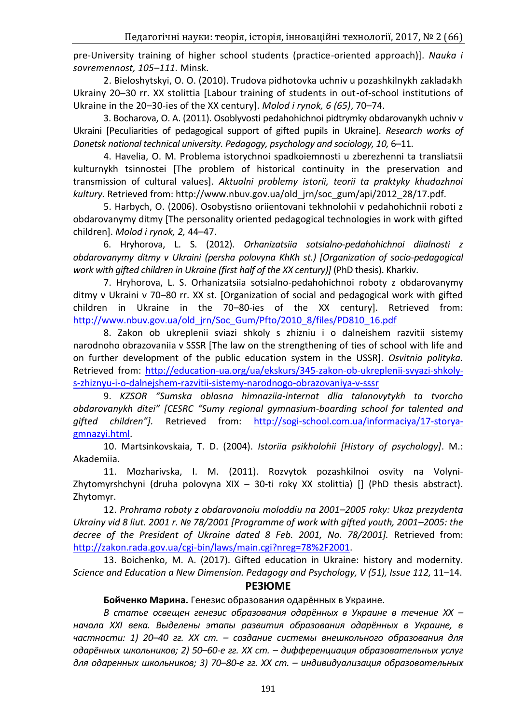pre-University training of higher school students (practice-oriented approach)]. *Nauka i sovremennost, 105–111.* Minsk.

2. Bieloshytskyi, O. O. (2010). Trudova pidhotovka uchniv u pozashkilnykh zakladakh Ukrainy 20–30 rr. XX stolittia [Labour training of students in out-of-school institutions of Ukraine in the 20–30-ies of the XX century]. *Molod i rynok, 6 (65)*, 70–74.

3. Bocharova, O. A. (2011). Osoblyvosti pedahohichnoi pidtrymky obdarovanykh uchniv v Ukraini [Peculiarities of pedagogical support of gifted pupils in Ukraine]. *Research works of Donetsk national technical university. Pedagogy, psychology and sociology, 10,* 6–11.

4. Havelia, O. M. Problema istorychnoi spadkoiemnosti u zberezhenni ta transliatsii kulturnykh tsinnostei [The problem of historical continuity in the preservation and transmission of cultural values]. *Aktualni problemy istorii, teorii ta praktyky khudozhnoi kultury.* Retrieved from: http://www.nbuv.gov.ua/old\_jrn/soc\_gum/api/2012\_28/17.pdf.

5. Harbych, O. (2006). Osobystisno oriientovani tekhnolohii v pedahohichnii roboti z obdarovanymy ditmy [The personality oriented pedagogical technologies in work with gifted children]. *Molod i rynok, 2,* 44–47.

6. Hryhorova, L. S. (2012). *Orhanizatsiia sotsialno-pedahohichnoi diialnosti z obdarovanymy ditmy v Ukraini (persha polovyna KhKh st.) [Organization of socio-pedagogical*  work with gifted children in Ukraine (first half of the XX century)] (PhD thesis). Kharkiv.

7. Hryhorova, L. S. Orhanizatsiia sotsialno-pedahohichnoi roboty z obdarovanymy ditmy v Ukraini v 70–80 rr. XX st. [Organization of social and pedagogical work with gifted children in Ukraine in the 70–80-ies of the XX century]. Retrieved from: [http://www.nbuv.gov.ua/old\\_jrn/Soc\\_Gum/Pfto/2010\\_8/files/PD810\\_16.pdf](http://www.nbuv.gov.ua/old_jrn/Soc_Gum/Pfto/2010_8/files/PD810_16.pdf)

8. Zakon ob ukreplenii sviazi shkoly s zhizniu i o dalneishem razvitii sistemy narodnoho obrazovaniia v SSSR [The law on the strengthening of ties of school with life and on further development of the public education system in the USSR]. *Osvitnia polityka.* Retrieved from: [http://education-ua.org/ua/ekskurs/345-zakon-ob-ukreplenii-svyazi-shkoly](http://education-ua.org/ua/ekskurs/345-zakon-ob-ukreplenii-svyazi-shkoly-s-zhiznyu-i-o-dalnejshem-razvitii-sistemy-narodnogo-obrazovaniya-v-sssr)[s-zhiznyu-i-o-dalnejshem-razvitii-sistemy-narodnogo-obrazovaniya-v-sssr](http://education-ua.org/ua/ekskurs/345-zakon-ob-ukreplenii-svyazi-shkoly-s-zhiznyu-i-o-dalnejshem-razvitii-sistemy-narodnogo-obrazovaniya-v-sssr)

9. *KZSOR "Sumska oblasna himnaziia-internat dlia talanovytykh ta tvorcho obdarovanykh ditei" [CESRC "Sumy regional gymnasium-boarding school for talented and gifted children"].* Retrieved from: [http://sogi-school.com.ua/informaciya/17-storya](http://sogi-school.com.ua/informaciya/17-storya-gmnazyi.html)[gmnazyi.html.](http://sogi-school.com.ua/informaciya/17-storya-gmnazyi.html)

10. Martsinkovskaia, T. D. (2004). *Istoriia psikholohii [History of psychology]*. M.: Akademiia.

11. Mozharivska, I. M. (2011). Rozvytok pozashkilnoi osvity na Volyni-Zhytomyrshchyni (druha polovyna XIX – 30-ti roky XX stolittia) [] (PhD thesis abstract). Zhytomyr.

12. *Prohrama roboty z obdarovanoiu moloddiu na 2001–2005 roky: Ukaz prezydenta Ukrainy vid 8 liut. 2001 r. № 78/2001 [Programme of work with gifted youth, 2001–2005: the decree of the President of Ukraine dated 8 Feb. 2001, No. 78/2001].* Retrieved from: [http://zakon.rada.gov.ua/cgi-bin/laws/main.cgi?nreg=78%2F2001.](http://zakon.rada.gov.ua/cgi-bin/laws/main.cgi?nreg=78%2F2001)

13. Boichenko, M. A. (2017). Gifted education in Ukraine: history and modernity. *Science and Education a New Dimension. Pedagogy and Psychology, V (51), Issue 112,* 11–14.

#### **РЕЗЮМЕ**

**Бойченко Марина.** Генезис образования одарённых в Украине.

*В статье освещен генезис образования одарённых в Украине в течение ХХ – начала XXI века. Выделены этапы развития образования одарённых в Украине, в частности: 1) 20–40 гг. ХХ ст. – создание системы внешкольного образования для одарённых школьников; 2) 50–60-е гг. ХХ ст. – дифференциация образовательных услуг для одаренных школьников; 3) 70–80-е гг. ХХ ст. – индивидуализация образовательных*